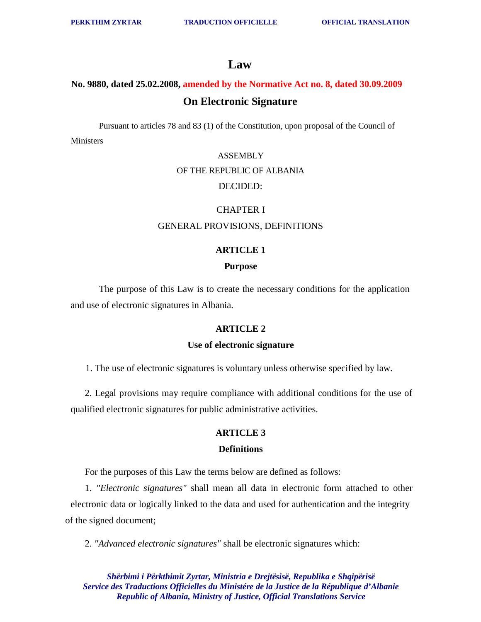## **Law**

## **No. 9880, dated 25.02.2008, amended by the Normative Act no. 8, dated 30.09.2009 On Electronic Signature**

Pursuant to articles 78 and 83 (1) of the Constitution, upon proposal of the Council of Ministers

#### **ASSEMBLY**

#### OF THE REPUBLIC OF ALBANIA

### DECIDED:

#### CHAPTER I

#### GENERAL PROVISIONS, DEFINITIONS

#### **ARTICLE 1**

#### **Purpose**

The purpose of this Law is to create the necessary conditions for the application and use of electronic signatures in Albania.

#### **ARTICLE 2**

#### **Use of electronic signature**

1. The use of electronic signatures is voluntary unless otherwise specified by law.

2. Legal provisions may require compliance with additional conditions for the use of qualified electronic signatures for public administrative activities.

#### **ARTICLE 3**

#### **Definitions**

For the purposes of this Law the terms below are defined as follows:

1. *"Electronic signatures"* shall mean all data in electronic form attached to other electronic data or logically linked to the data and used for authentication and the integrity of the signed document;

2. *"Advanced electronic signatures"* shall be electronic signatures which: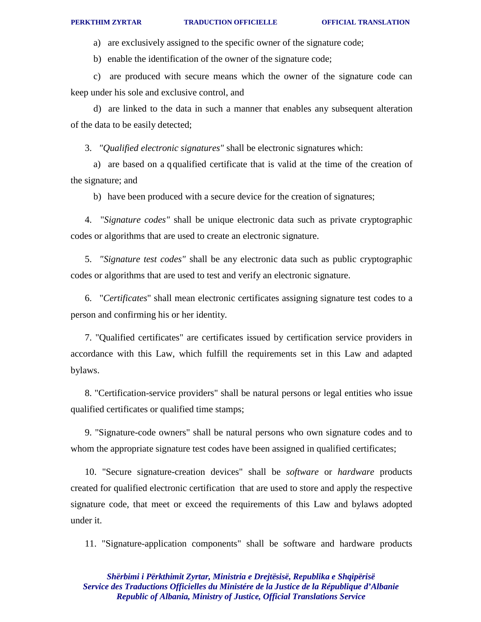a) are exclusively assigned to the specific owner of the signature code;

b) enable the identification of the owner of the signature code;

c) are produced with secure means which the owner of the signature code can keep under his sole and exclusive control, and

d) are linked to the data in such a manner that enables any subsequent alteration of the data to be easily detected;

3. *"Qualified electronic signatures"* shall be electronic signatures which:

a) are based on a qqualified certificate that is valid at the time of the creation of the signature; and

b) have been produced with a secure device for the creation of signatures;

4. "*Signature codes"* shall be unique electronic data such as private cryptographic codes or algorithms that are used to create an electronic signature.

5. *"Signature test codes"* shall be any electronic data such as public cryptographic codes or algorithms that are used to test and verify an electronic signature.

6. "*Certificates*" shall mean electronic certificates assigning signature test codes to a person and confirming his or her identity.

7. "Qualified certificates" are certificates issued by certification service providers in accordance with this Law, which fulfill the requirements set in this Law and adapted bylaws.

8. "Certification-service providers" shall be natural persons or legal entities who issue qualified certificates or qualified time stamps;

9. "Signature-code owners" shall be natural persons who own signature codes and to whom the appropriate signature test codes have been assigned in qualified certificates;

10. "Secure signature-creation devices" shall be *software* or *hardware* products created for qualified electronic certification that are used to store and apply the respective signature code, that meet or exceed the requirements of this Law and bylaws adopted under it.

11. "Signature-application components" shall be software and hardware products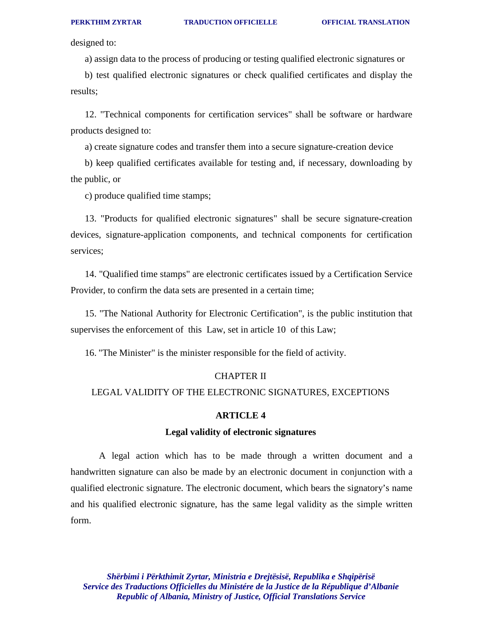designed to:

a) assign data to the process of producing or testing qualified electronic signatures or

b) test qualified electronic signatures or check qualified certificates and display the results;

12. "Technical components for certification services" shall be software or hardware products designed to:

a) create signature codes and transfer them into a secure signature-creation device

b) keep qualified certificates available for testing and, if necessary, downloading by the public, or

c) produce qualified time stamps;

13. "Products for qualified electronic signatures" shall be secure signature-creation devices, signature-application components, and technical components for certification services;

14. "Qualified time stamps" are electronic certificates issued by a Certification Service Provider, to confirm the data sets are presented in a certain time;

15. "The National Authority for Electronic Certification", is the public institution that supervises the enforcement of this Law, set in article 10 of this Law;

16. "The Minister" is the minister responsible for the field of activity.

#### CHAPTER II

### LEGAL VALIDITY OF THE ELECTRONIC SIGNATURES, EXCEPTIONS

#### **ARTICLE 4**

#### **Legal validity of electronic signatures**

A legal action which has to be made through a written document and a handwritten signature can also be made by an electronic document in conjunction with a qualified electronic signature. The electronic document, which bears the signatory's name and his qualified electronic signature, has the same legal validity as the simple written form.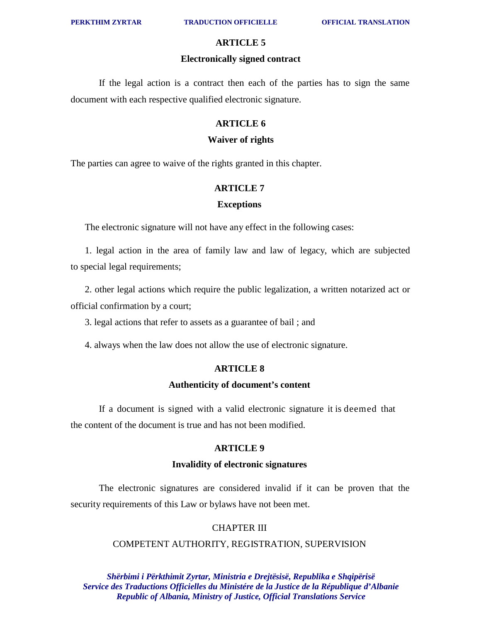#### **Electronically signed contract**

If the legal action is a contract then each of the parties has to sign the same document with each respective qualified electronic signature.

#### **ARTICLE 6**

#### **Waiver of rights**

The parties can agree to waive of the rights granted in this chapter.

#### **ARTICLE 7**

#### **Exceptions**

The electronic signature will not have any effect in the following cases:

1. legal action in the area of family law and law of legacy, which are subjected to special legal requirements;

2. other legal actions which require the public legalization, a written notarized act or official confirmation by a court;

3. legal actions that refer to assets as a guarantee of bail ; and

4. always when the law does not allow the use of electronic signature.

#### **ARTICLE 8**

#### **Authenticity of document's content**

If a document is signed with a valid electronic signature it is deemed that the content of the document is true and has not been modified.

#### **ARTICLE 9**

#### **Invalidity of electronic signatures**

The electronic signatures are considered invalid if it can be proven that the security requirements of this Law or bylaws have not been met.

#### CHAPTER III

#### COMPETENT AUTHORITY, REGISTRATION, SUPERVISION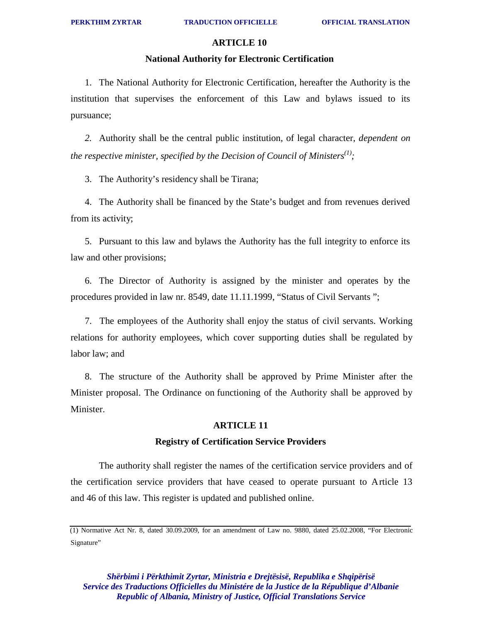#### **National Authority for Electronic Certification**

1. The National Authority for Electronic Certification, hereafter the Authority is the institution that supervises the enforcement of this Law and bylaws issued to its pursuance;

*2.* Authority shall be the central public institution, of legal character, *dependent on the respective minister, specified by the Decision of Council of Ministers(1) ;*

3. The Authority's residency shall be Tirana;

4. The Authority shall be financed by the State's budget and from revenues derived from its activity;

5. Pursuant to this law and bylaws the Authority has the full integrity to enforce its law and other provisions;

6. The Director of Authority is assigned by the minister and operates by the procedures provided in law nr. 8549, date 11.11.1999, "Status of Civil Servants ";

7. The employees of the Authority shall enjoy the status of civil servants. Working relations for authority employees, which cover supporting duties shall be regulated by labor law; and

8. The structure of the Authority shall be approved by Prime Minister after the Minister proposal. The Ordinance on functioning of the Authority shall be approved by Minister.

#### **ARTICLE 11**

#### **Registry of Certification Service Providers**

The authority shall register the names of the certification service providers and of the certification service providers that have ceased to operate pursuant to Article 13 and 46 of this law. This register is updated and published online.

<sup>(1)</sup> Normative Act Nr. 8, dated 30.09.2009, for an amendment of Law no. 9880, dated 25.02.2008, "For Electronic Signature"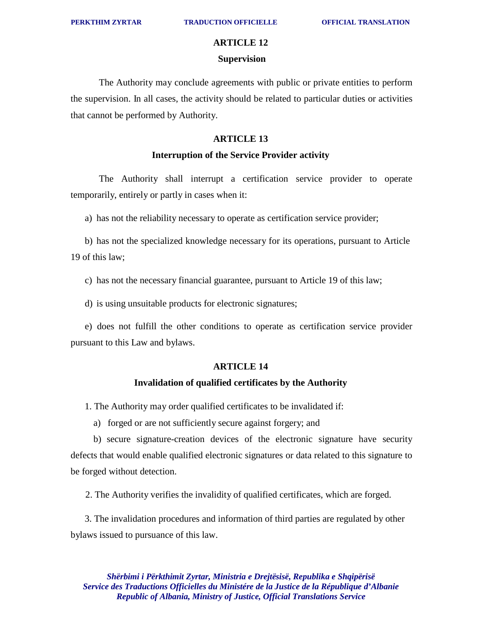## **ARTICLE 12 Supervision**

The Authority may conclude agreements with public or private entities to perform the supervision. In all cases, the activity should be related to particular duties or activities that cannot be performed by Authority.

#### **ARTICLE 13**

#### **Interruption of the Service Provider activity**

The Authority shall interrupt a certification service provider to operate temporarily, entirely or partly in cases when it:

a) has not the reliability necessary to operate as certification service provider;

b) has not the specialized knowledge necessary for its operations, pursuant to Article 19 of this law;

c) has not the necessary financial guarantee, pursuant to Article 19 of this law;

d) is using unsuitable products for electronic signatures;

e) does not fulfill the other conditions to operate as certification service provider pursuant to this Law and bylaws.

#### **ARTICLE 14**

#### **Invalidation of qualified certificates by the Authority**

1. The Authority may order qualified certificates to be invalidated if:

a) forged or are not sufficiently secure against forgery; and

b) secure signature-creation devices of the electronic signature have security defects that would enable qualified electronic signatures or data related to this signature to be forged without detection.

2. The Authority verifies the invalidity of qualified certificates, which are forged.

3. The invalidation procedures and information of third parties are regulated by other bylaws issued to pursuance of this law.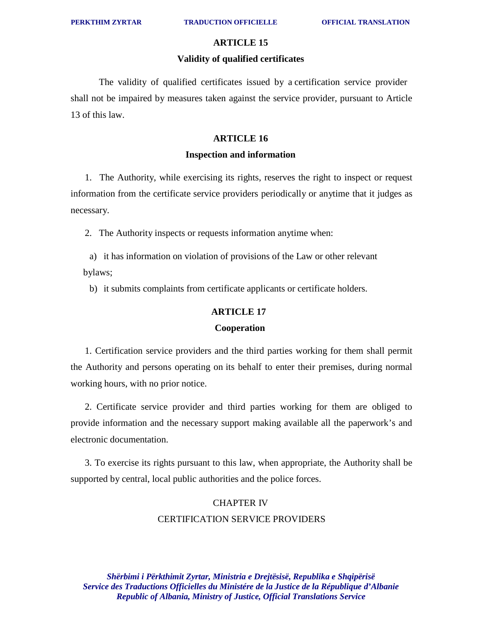#### **Validity of qualified certificates**

The validity of qualified certificates issued by a certification service provider shall not be impaired by measures taken against the service provider, pursuant to Article 13 of this law.

#### **ARTICLE 16**

#### **Inspection and information**

1. The Authority, while exercising its rights, reserves the right to inspect or request information from the certificate service providers periodically or anytime that it judges as necessary.

2. The Authority inspects or requests information anytime when:

 a) it has information on violation of provisions of the Law or other relevant bylaws;

b) it submits complaints from certificate applicants or certificate holders.

#### **ARTICLE 17**

#### **Cooperation**

1. Certification service providers and the third parties working for them shall permit the Authority and persons operating on its behalf to enter their premises, during normal working hours, with no prior notice.

2. Certificate service provider and third parties working for them are obliged to provide information and the necessary support making available all the paperwork's and electronic documentation.

3. To exercise its rights pursuant to this law, when appropriate, the Authority shall be supported by central, local public authorities and the police forces.

## CHAPTER IV CERTIFICATION SERVICE PROVIDERS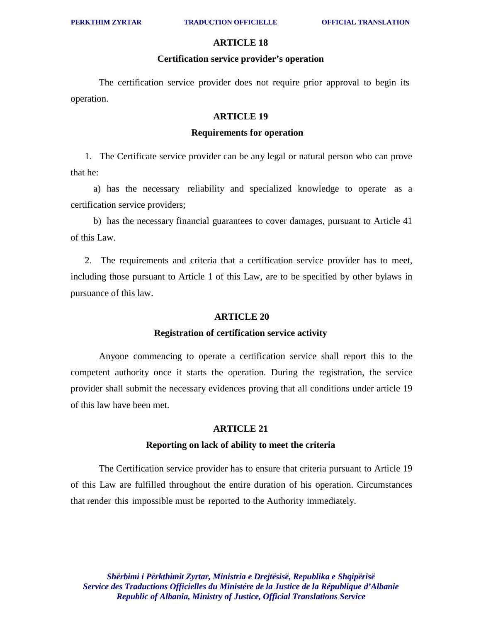#### **Certification service provider's operation**

The certification service provider does not require prior approval to begin its operation.

#### **ARTICLE 19**

#### **Requirements for operation**

1. The Certificate service provider can be any legal or natural person who can prove that he:

a) has the necessary reliability and specialized knowledge to operate as a certification service providers;

b) has the necessary financial guarantees to cover damages, pursuant to Article 41 of this Law.

2. The requirements and criteria that a certification service provider has to meet, including those pursuant to Article 1 of this Law, are to be specified by other bylaws in pursuance of this law.

#### **ARTICLE 20**

#### **Registration of certification service activity**

Anyone commencing to operate a certification service shall report this to the competent authority once it starts the operation. During the registration, the service provider shall submit the necessary evidences proving that all conditions under article 19 of this law have been met.

#### **ARTICLE 21**

#### **Reporting on lack of ability to meet the criteria**

The Certification service provider has to ensure that criteria pursuant to Article 19 of this Law are fulfilled throughout the entire duration of his operation. Circumstances that render this impossible must be reported to the Authority immediately.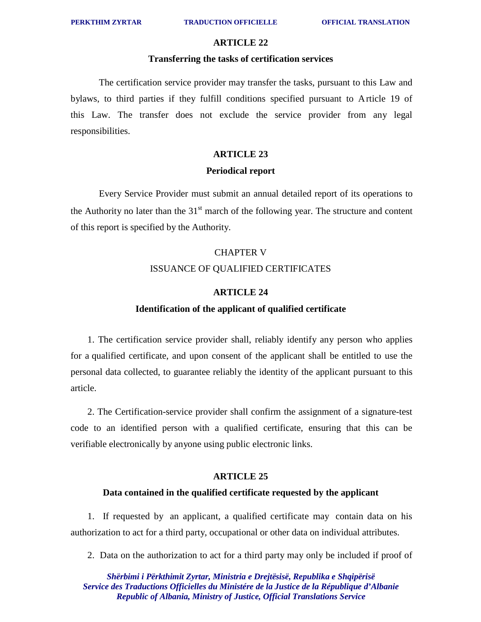#### **ARTICLE 22**

#### **Transferring the tasks of certification services**

The certification service provider may transfer the tasks, pursuant to this Law and bylaws, to third parties if they fulfill conditions specified pursuant to Article 19 of this Law. The transfer does not exclude the service provider from any legal responsibilities.

#### **ARTICLE 23**

#### **Periodical report**

Every Service Provider must submit an annual detailed report of its operations to the Authority no later than the  $31<sup>st</sup>$  march of the following year. The structure and content of this report is specified by the Authority.

## CHAPTER V ISSUANCE OF QUALIFIED CERTIFICATES

#### **ARTICLE 24**

#### **Identification of the applicant of qualified certificate**

1. The certification service provider shall, reliably identify any person who applies for a qualified certificate, and upon consent of the applicant shall be entitled to use the personal data collected, to guarantee reliably the identity of the applicant pursuant to this article.

2. The Certification-service provider shall confirm the assignment of a signature-test code to an identified person with a qualified certificate, ensuring that this can be verifiable electronically by anyone using public electronic links.

#### **ARTICLE 25**

#### **Data contained in the qualified certificate requested by the applicant**

1. If requested by an applicant, a qualified certificate may contain data on his authorization to act for a third party, occupational or other data on individual attributes.

2. Data on the authorization to act for a third party may only be included if proof of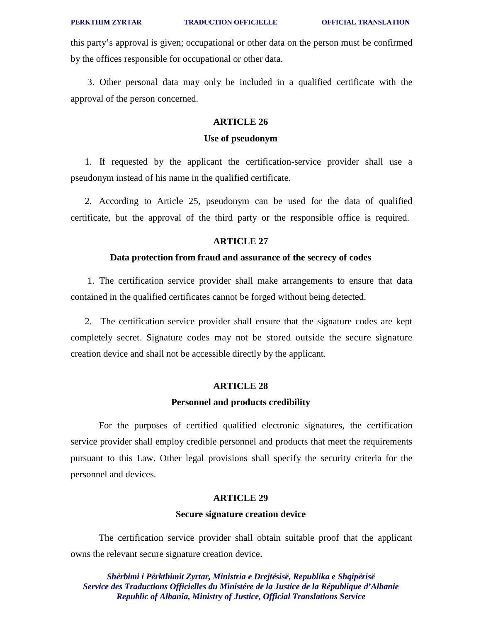this party's approval is given; occupational or other data on the person must be confirmed by the offices responsible for occupational or other data.

3. Other personal data may only be included in a qualified certificate with the approval of the person concerned.

#### **ARTICLE 26**

#### **Use of pseudonym**

1. If requested by the applicant the certification-service provider shall use a pseudonym instead of his name in the qualified certificate.

2. According to Article 25, pseudonym can be used for the data of qualified certificate, but the approval of the third party or the responsible office is required.

#### **ARTICLE 27**

#### **Data protection from fraud and assurance of the secrecy of codes**

1. The certification service provider shall make arrangements to ensure that data contained in the qualified certificates cannot be forged without being detected.

2. The certification service provider shall ensure that the signature codes are kept completely secret. Signature codes may not be stored outside the secure signature creation device and shall not be accessible directly by the applicant.

#### **ARTICLE 28**

#### **Personnel and products credibility**

For the purposes of certified qualified electronic signatures, the certification service provider shall employ credible personnel and products that meet the requirements pursuant to this Law. Other legal provisions shall specify the security criteria for the personnel and devices.

#### **ARTICLE 29**

#### **Secure signature creation device**

The certification service provider shall obtain suitable proof that the applicant owns the relevant secure signature creation device.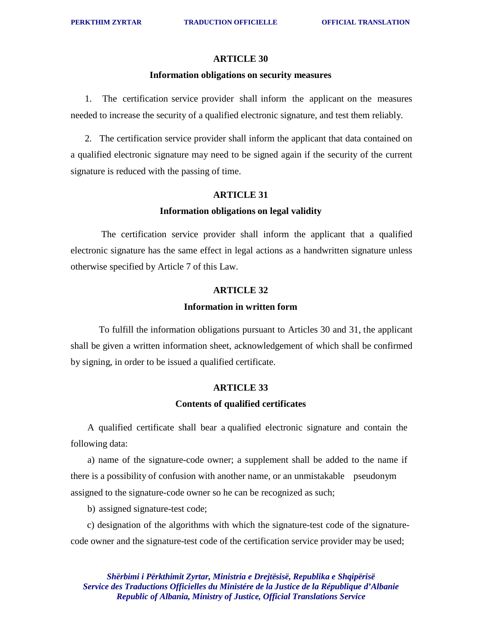#### **Information obligations on security measures**

1. The certification service provider shall inform the applicant on the measures needed to increase the security of a qualified electronic signature, and test them reliably.

2. The certification service provider shall inform the applicant that data contained on a qualified electronic signature may need to be signed again if the security of the current signature is reduced with the passing of time.

#### **ARTICLE 31**

#### **Information obligations on legal validity**

The certification service provider shall inform the applicant that a qualified electronic signature has the same effect in legal actions as a handwritten signature unless otherwise specified by Article 7 of this Law.

#### **ARTICLE 32**

#### **Information in written form**

To fulfill the information obligations pursuant to Articles 30 and 31, the applicant shall be given a written information sheet, acknowledgement of which shall be confirmed by signing, in order to be issued a qualified certificate.

#### **ARTICLE 33**

#### **Contents of qualified certificates**

A qualified certificate shall bear a qualified electronic signature and contain the following data:

a) name of the signature-code owner; a supplement shall be added to the name if there is a possibility of confusion with another name, or an unmistakable pseudonym assigned to the signature-code owner so he can be recognized as such;

b) assigned signature-test code;

c) designation of the algorithms with which the signature-test code of the signaturecode owner and the signature-test code of the certification service provider may be used;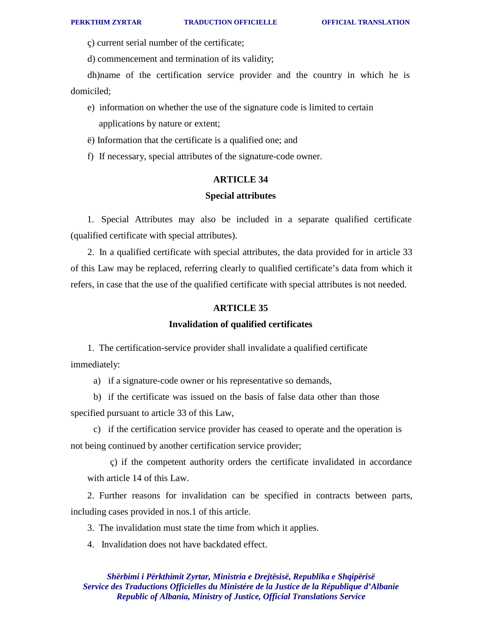ç) current serial number of the certificate;

d) commencement and termination of its validity;

dh)name of the certification service provider and the country in which he is domiciled;

e) information on whether the use of the signature code is limited to certain applications by nature or extent;

ë) Information that the certificate is a qualified one; and

f) If necessary, special attributes of the signature-code owner.

#### **ARTICLE 34**

#### **Special attributes**

1. Special Attributes may also be included in a separate qualified certificate (qualified certificate with special attributes).

2. In a qualified certificate with special attributes, the data provided for in article 33 of this Law may be replaced, referring clearly to qualified certificate's data from which it refers, in case that the use of the qualified certificate with special attributes is not needed.

#### **ARTICLE 35**

#### **Invalidation of qualified certificates**

1. The certification-service provider shall invalidate a qualified certificate immediately:

a) if a signature-code owner or his representative so demands,

b) if the certificate was issued on the basis of false data other than those specified pursuant to article 33 of this Law,

c) if the certification service provider has ceased to operate and the operation is not being continued by another certification service provider;

ç) if the competent authority orders the certificate invalidated in accordance with article 14 of this Law.

2. Further reasons for invalidation can be specified in contracts between parts, including cases provided in nos.1 of this article.

3. The invalidation must state the time from which it applies.

4. Invalidation does not have backdated effect.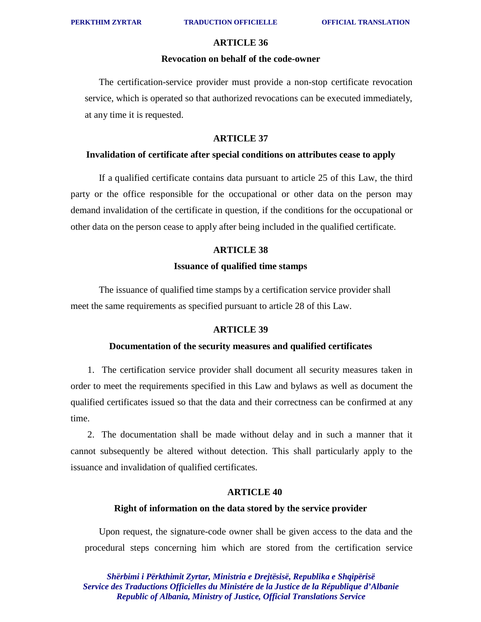#### **ARTICLE 36**

#### **Revocation on behalf of the code-owner**

The certification-service provider must provide a non-stop certificate revocation service, which is operated so that authorized revocations can be executed immediately, at any time it is requested.

#### **ARTICLE 37**

#### **Invalidation of certificate after special conditions on attributes cease to apply**

If a qualified certificate contains data pursuant to article 25 of this Law, the third party or the office responsible for the occupational or other data on the person may demand invalidation of the certificate in question, if the conditions for the occupational or other data on the person cease to apply after being included in the qualified certificate.

#### **ARTICLE 38**

#### **Issuance of qualified time stamps**

The issuance of qualified time stamps by a certification service provider shall meet the same requirements as specified pursuant to article 28 of this Law.

#### **ARTICLE 39**

#### **Documentation of the security measures and qualified certificates**

1. The certification service provider shall document all security measures taken in order to meet the requirements specified in this Law and bylaws as well as document the qualified certificates issued so that the data and their correctness can be confirmed at any time.

2. The documentation shall be made without delay and in such a manner that it cannot subsequently be altered without detection. This shall particularly apply to the issuance and invalidation of qualified certificates.

#### **ARTICLE 40**

#### **Right of information on the data stored by the service provider**

Upon request, the signature-code owner shall be given access to the data and the procedural steps concerning him which are stored from the certification service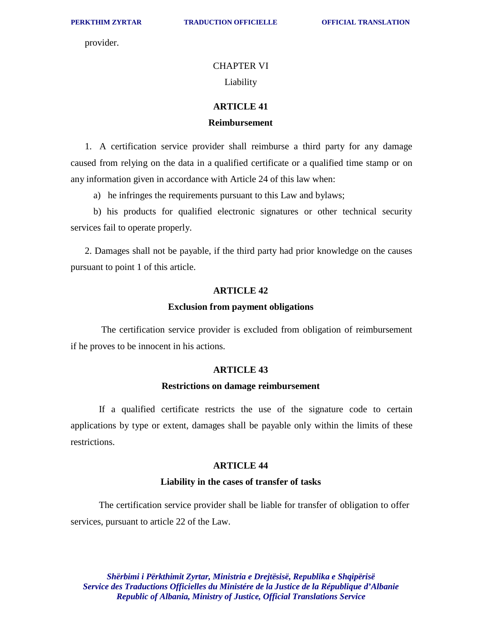provider.

#### CHAPTER VI

#### Liability

#### **ARTICLE 41**

#### **Reimbursement**

1. A certification service provider shall reimburse a third party for any damage caused from relying on the data in a qualified certificate or a qualified time stamp or on any information given in accordance with Article 24 of this law when:

a) he infringes the requirements pursuant to this Law and bylaws;

b) his products for qualified electronic signatures or other technical security services fail to operate properly.

2. Damages shall not be payable, if the third party had prior knowledge on the causes pursuant to point 1 of this article.

#### **ARTICLE 42**

#### **Exclusion from payment obligations**

The certification service provider is excluded from obligation of reimbursement if he proves to be innocent in his actions.

#### **ARTICLE 43**

#### **Restrictions on damage reimbursement**

If a qualified certificate restricts the use of the signature code to certain applications by type or extent, damages shall be payable only within the limits of these restrictions.

#### **ARTICLE 44**

#### **Liability in the cases of transfer of tasks**

The certification service provider shall be liable for transfer of obligation to offer services, pursuant to article 22 of the Law.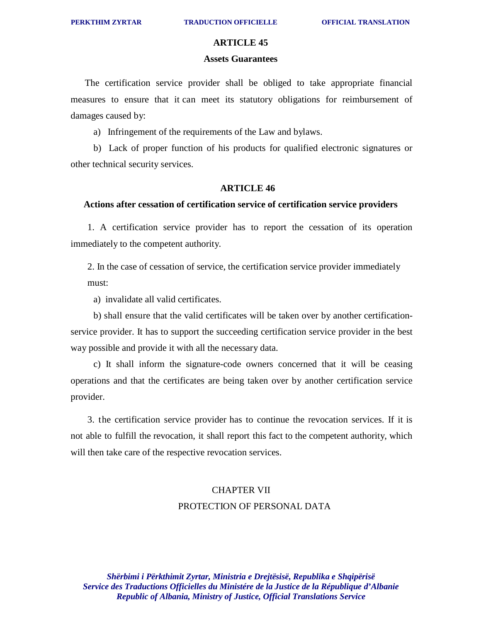#### **ARTICLE 45**

#### **Assets Guarantees**

The certification service provider shall be obliged to take appropriate financial measures to ensure that it can meet its statutory obligations for reimbursement of damages caused by:

a) Infringement of the requirements of the Law and bylaws.

b) Lack of proper function of his products for qualified electronic signatures or other technical security services.

#### **ARTICLE 46**

#### **Actions after cessation of certification service of certification service providers**

1. A certification service provider has to report the cessation of its operation immediately to the competent authority.

2. In the case of cessation of service, the certification service provider immediately must:

a) invalidate all valid certificates.

b) shall ensure that the valid certificates will be taken over by another certificationservice provider. It has to support the succeeding certification service provider in the best way possible and provide it with all the necessary data.

c) It shall inform the signature-code owners concerned that it will be ceasing operations and that the certificates are being taken over by another certification service provider.

3. the certification service provider has to continue the revocation services. If it is not able to fulfill the revocation, it shall report this fact to the competent authority, which will then take care of the respective revocation services.

## CHAPTER VII PROTECTION OF PERSONAL DATA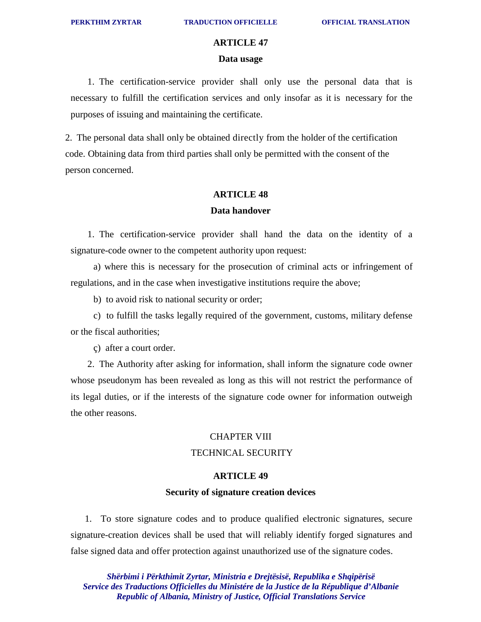## **ARTICLE 47 Data usage**

1. The certification-service provider shall only use the personal data that is necessary to fulfill the certification services and only insofar as it is necessary for the purposes of issuing and maintaining the certificate.

2. The personal data shall only be obtained directly from the holder of the certification code. Obtaining data from third parties shall only be permitted with the consent of the person concerned.

#### **ARTICLE 48**

#### **Data handover**

1. The certification-service provider shall hand the data on the identity of a signature-code owner to the competent authority upon request:

a) where this is necessary for the prosecution of criminal acts or infringement of regulations, and in the case when investigative institutions require the above;

b) to avoid risk to national security or order;

c) to fulfill the tasks legally required of the government, customs, military defense or the fiscal authorities;

ç) after a court order.

2. The Authority after asking for information, shall inform the signature code owner whose pseudonym has been revealed as long as this will not restrict the performance of its legal duties, or if the interests of the signature code owner for information outweigh the other reasons.

#### CHAPTER VIII

#### TECHNICAL SECURITY

#### **ARTICLE 49**

#### **Security of signature creation devices**

1. To store signature codes and to produce qualified electronic signatures, secure signature-creation devices shall be used that will reliably identify forged signatures and false signed data and offer protection against unauthorized use of the signature codes.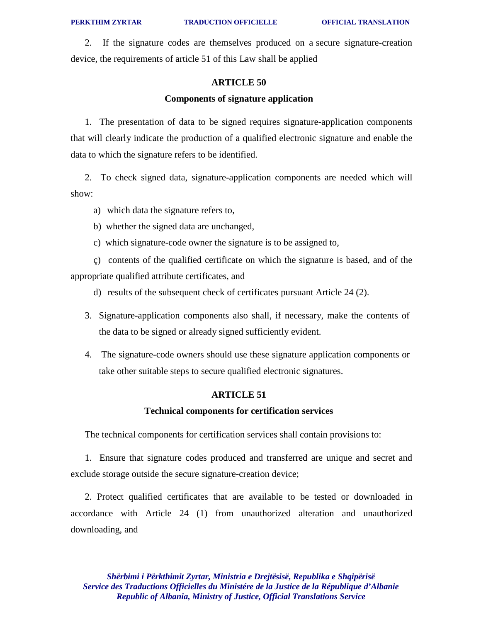2. If the signature codes are themselves produced on a secure signature-creation device, the requirements of article 51 of this Law shall be applied

#### **ARTICLE 50**

#### **Components of signature application**

1. The presentation of data to be signed requires signature-application components that will clearly indicate the production of a qualified electronic signature and enable the data to which the signature refers to be identified.

2. To check signed data, signature-application components are needed which will show:

a) which data the signature refers to,

b) whether the signed data are unchanged,

c) which signature-code owner the signature is to be assigned to,

ç) contents of the qualified certificate on which the signature is based, and of the appropriate qualified attribute certificates, and

d) results of the subsequent check of certificates pursuant Article 24 (2).

- 3. Signature-application components also shall, if necessary, make the contents of the data to be signed or already signed sufficiently evident.
- 4. The signature-code owners should use these signature application components or take other suitable steps to secure qualified electronic signatures.

#### **ARTICLE 51**

#### **Technical components for certification services**

The technical components for certification services shall contain provisions to:

1. Ensure that signature codes produced and transferred are unique and secret and exclude storage outside the secure signature-creation device;

2. Protect qualified certificates that are available to be tested or downloaded in accordance with Article 24 (1) from unauthorized alteration and unauthorized downloading, and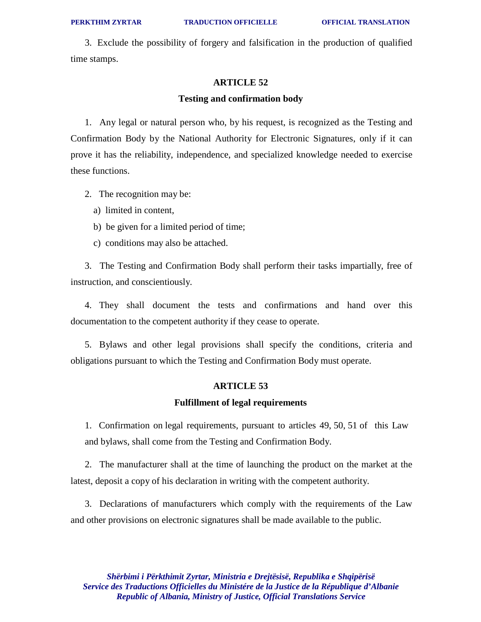3. Exclude the possibility of forgery and falsification in the production of qualified time stamps.

#### **ARTICLE 52**

#### **Testing and confirmation body**

1. Any legal or natural person who, by his request, is recognized as the Testing and Confirmation Body by the National Authority for Electronic Signatures, only if it can prove it has the reliability, independence, and specialized knowledge needed to exercise these functions.

- 2. The recognition may be:
	- a) limited in content,
	- b) be given for a limited period of time;
	- c) conditions may also be attached.

3. The Testing and Confirmation Body shall perform their tasks impartially, free of instruction, and conscientiously.

4. They shall document the tests and confirmations and hand over this documentation to the competent authority if they cease to operate.

5. Bylaws and other legal provisions shall specify the conditions, criteria and obligations pursuant to which the Testing and Confirmation Body must operate.

#### **ARTICLE 53**

#### **Fulfillment of legal requirements**

1. Confirmation on legal requirements, pursuant to articles 49, 50, 51 of this Law and bylaws, shall come from the Testing and Confirmation Body.

2. The manufacturer shall at the time of launching the product on the market at the latest, deposit a copy of his declaration in writing with the competent authority.

3. Declarations of manufacturers which comply with the requirements of the Law and other provisions on electronic signatures shall be made available to the public.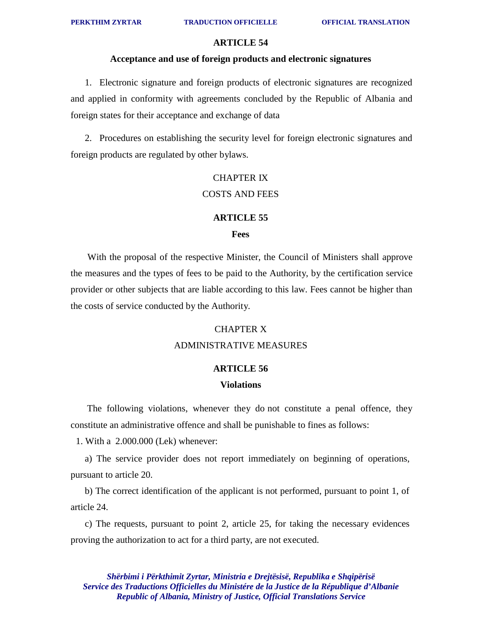#### **Acceptance and use of foreign products and electronic signatures**

1. Electronic signature and foreign products of electronic signatures are recognized and applied in conformity with agreements concluded by the Republic of Albania and foreign states for their acceptance and exchange of data

2. Procedures on establishing the security level for foreign electronic signatures and foreign products are regulated by other bylaws.

## CHAPTER IX COSTS AND FEES

## **ARTICLE 55 Fees**

With the proposal of the respective Minister, the Council of Ministers shall approve the measures and the types of fees to be paid to the Authority, by the certification service provider or other subjects that are liable according to this law. Fees cannot be higher than the costs of service conducted by the Authority.

#### CHAPTER X

#### ADMINISTRATIVE MEASURES

#### **ARTICLE 56**

#### **Violations**

The following violations, whenever they do not constitute a penal offence, they constitute an administrative offence and shall be punishable to fines as follows:

1. With a 2.000.000 (Lek) whenever:

a) The service provider does not report immediately on beginning of operations, pursuant to article 20.

b) The correct identification of the applicant is not performed, pursuant to point 1, of article 24.

c) The requests, pursuant to point 2, article 25, for taking the necessary evidences proving the authorization to act for a third party, are not executed.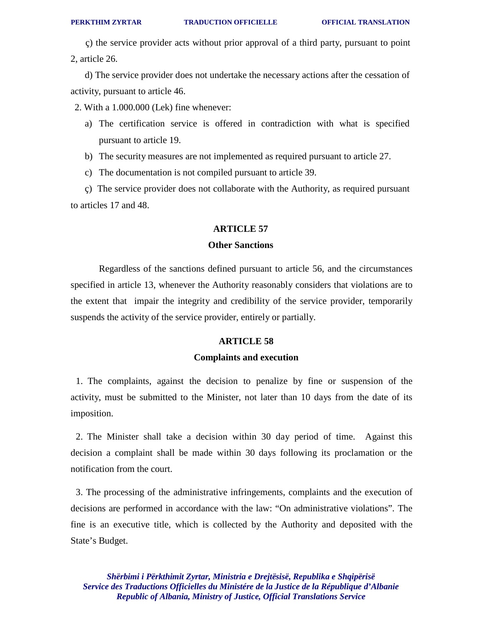ç) the service provider acts without prior approval of a third party, pursuant to point 2, article 26.

d) The service provider does not undertake the necessary actions after the cessation of activity, pursuant to article 46.

2. With a 1.000.000 (Lek) fine whenever:

- a) The certification service is offered in contradiction with what is specified pursuant to article 19.
- b) The security measures are not implemented as required pursuant to article 27.
- c) The documentation is not compiled pursuant to article 39.

ç) The service provider does not collaborate with the Authority, as required pursuant to articles 17 and 48.

#### **ARTICLE 57**

#### **Other Sanctions**

Regardless of the sanctions defined pursuant to article 56, and the circumstances specified in article 13, whenever the Authority reasonably considers that violations are to the extent that impair the integrity and credibility of the service provider, temporarily suspends the activity of the service provider, entirely or partially.

#### **ARTICLE 58**

#### **Complaints and execution**

1. The complaints, against the decision to penalize by fine or suspension of the activity, must be submitted to the Minister, not later than 10 days from the date of its imposition.

2. The Minister shall take a decision within 30 day period of time. Against this decision a complaint shall be made within 30 days following its proclamation or the notification from the court.

3. The processing of the administrative infringements, complaints and the execution of decisions are performed in accordance with the law: "On administrative violations". The fine is an executive title, which is collected by the Authority and deposited with the State's Budget.